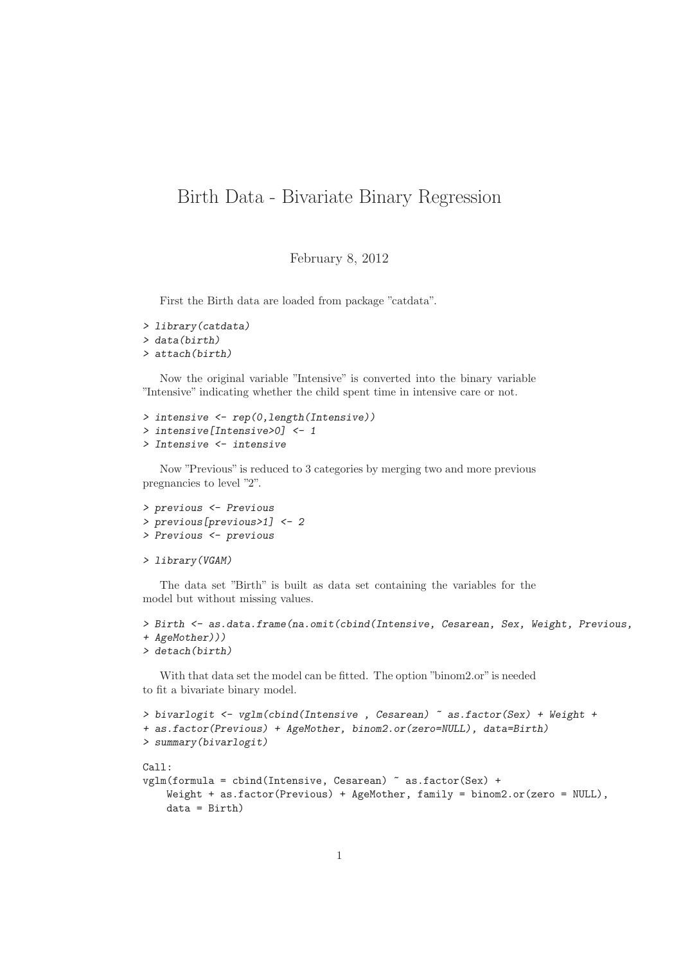## Birth Data - Bivariate Binary Regression

February 8, 2012

First the Birth data are loaded from package "catdata".

```
> library(catdata)
> data(birth)
> attach(birth)
```
Now the original variable "Intensive" is converted into the binary variable "Intensive" indicating whether the child spent time in intensive care or not.

```
> intensive <- rep(0,length(Intensive))
> intensive[Intensive>0] <- 1
> Intensive <- intensive
```
Now "Previous" is reduced to 3 categories by merging two and more previous pregnancies to level "2".

```
> previous <- Previous
> previous[previous>1] <- 2
> Previous <- previous
```

```
> library(VGAM)
```
The data set "Birth" is built as data set containing the variables for the model but without missing values.

```
> Birth <- as.data.frame(na.omit(cbind(Intensive, Cesarean, Sex, Weight, Previous,
+ AgeMother)))
```

```
> detach(birth)
```
With that data set the model can be fitted. The option "binom2.or" is needed to fit a bivariate binary model.

```
> bivarlogit <- vglm(cbind(Intensive , Cesarean) ~ as.factor(Sex) + Weight +
+ as.factor(Previous) + AgeMother, binom2.or(zero=NULL), data=Birth)
> summary(bivarlogit)
Ca11:vglm(formula = cbind(Intensive, Cesarean) ~ as.factor(Sex) +
   Weight + as.factor(Previous) + AgeMother, family = binom2.or(zero = NULL),
    data = Birth)
```